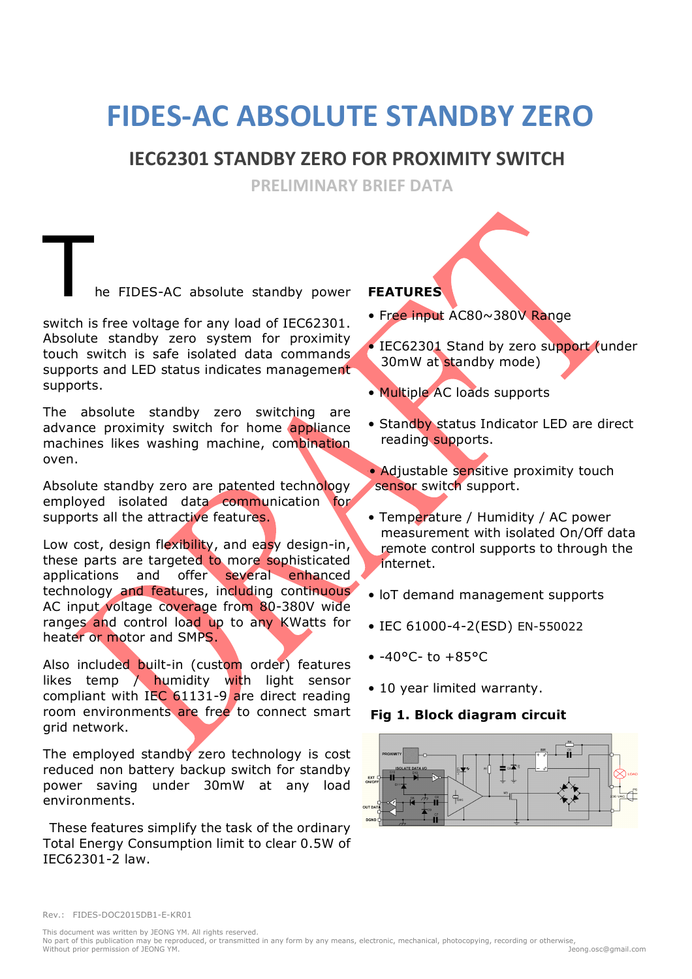# **FIDES-AC ABSOLUTE STANDBY ZERO**

## **IEC62301 STANDBY ZERO FOR PROXIMITY SWITCH**

**PRELIMINARY BRIEF DATA** 

he FIDES-AC absolute standby power

switch is free voltage for any load of IEC62301. Absolute standby zero system for proximity touch switch is safe isolated data commands supports and LED status indicates management supports.

The absolute standby zero switching are advance proximity switch for home appliance machines likes washing machine, combination oven.

Absolute standby zero are patented technology employed isolated data communication for supports all the attractive features.

Low cost, design flexibility, and easy design-in, these parts are targeted to more sophisticated applications and offer several enhanced technology and features, including continuous AC input voltage coverage from 80-380V wide ranges and control load up to any KWatts for heater or motor and SMPS.

Also included built-in (custom order) features likes temp  $\wedge$  humidity with light sensor compliant with IEC 61131-9 are direct reading room environments are free to connect smart grid network.

The employed standby zero technology is cost reduced non battery backup switch for standby power saving under 30mW at any load environments.

These features simplify the task of the ordinary Total Energy Consumption limit to clear 0.5W of IEC62301-2 law.

#### **FEATURES**

- Free input AC80~380V Range
- IEC62301 Stand by zero support (under 30mW at standby mode)
- Multiple AC loads supports
- Standby status Indicator LED are direct reading supports.
- •• Adjustable sensitive proximity touch sensor switch support.
- Temperature / Humidity / AC power measurement with isolated On/Off data remote control supports to through the internet.
- loT demand management supports
- IEC 61000-4-2(ESD) EN-550022
- $-40°C to +85°C$
- 10 year limited warranty.

#### **Fig 1. Block diagram circuit**

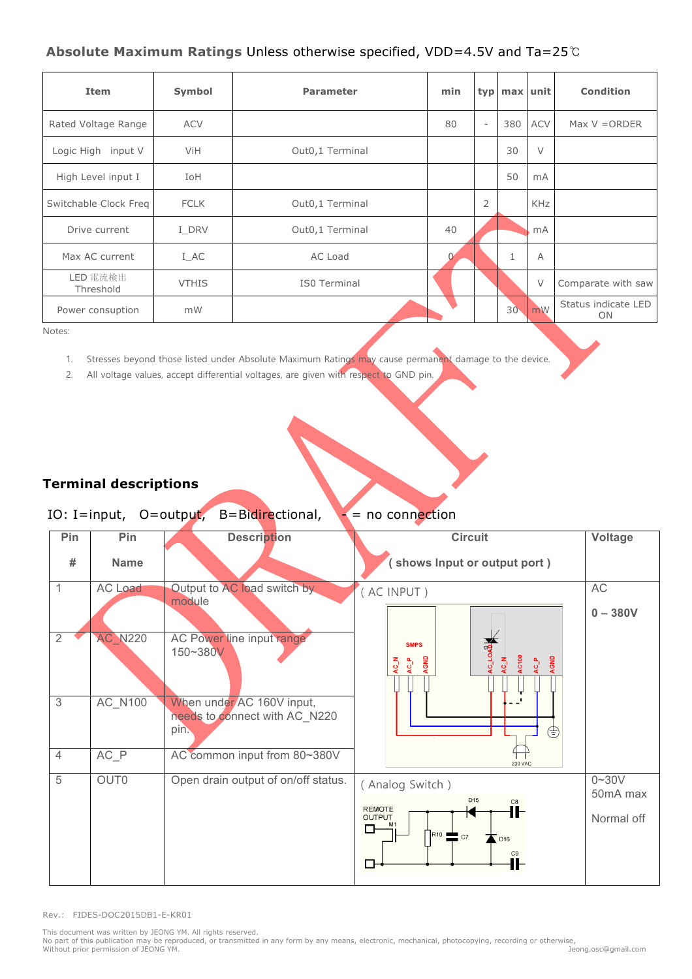#### **Absolute Maximum Ratings** Unless otherwise specified, VDD=4.5V and Ta=25℃

| Item                  | Symbol       | <b>Parameter</b> | min |                          | typ max unit    |                         | <b>Condition</b>          |
|-----------------------|--------------|------------------|-----|--------------------------|-----------------|-------------------------|---------------------------|
| Rated Voltage Range   | <b>ACV</b>   |                  | 80  | $\overline{\phantom{a}}$ | 380             | <b>ACV</b>              | Max $V = ORDER$           |
| Logic High input V    | ViH          | Out0,1 Terminal  |     |                          | 30              | $\vee$                  |                           |
| High Level input I    | IoH          |                  |     |                          | 50              | mA                      |                           |
| Switchable Clock Freg | <b>FCLK</b>  | Out0,1 Terminal  |     | $\overline{2}$           |                 | <b>KHz</b>              |                           |
| Drive current         | I DRV        | Out0,1 Terminal  | 40  |                          |                 | mA                      |                           |
| Max AC current        | I AC         | AC Load          |     |                          |                 | $\overline{A}$          |                           |
| LED 電流検出<br>Threshold | <b>VTHIS</b> | IS0 Terminal     |     |                          |                 | $\vee$                  | Comparate with saw        |
| Power consuption      | mW           |                  |     |                          | 30 <sub>1</sub> | $\mathsf{Im}\mathsf{W}$ | Status indicate LED<br>ON |

Notes:

- 1. Stresses beyond those listed under Absolute Maximum Ratings may cause permanent damage to the device.
- 2. All voltage values, accept differential voltages, are given with respect to GND pin.

## **Terminal descriptions**

## IO: I=input,  $O=$ output, B=Bidirectional,  $\rightarrow$  = no connection

| Pin            | Pin            | <b>Description</b>                                                 | <b>Circuit</b>                                                                                                | Voltage                             |
|----------------|----------------|--------------------------------------------------------------------|---------------------------------------------------------------------------------------------------------------|-------------------------------------|
| #              | <b>Name</b>    |                                                                    | (shows Input or output port)                                                                                  |                                     |
| 1              | AC Load        | Output to AC load switch by<br>module                              | (AC INPUT)                                                                                                    | AC<br>$0 - 380V$                    |
| $\overline{2}$ | <b>AC N220</b> | AC Power line input range<br>150~380V                              | <b>AC_LOAD</b><br><b>SMPS</b><br>AC100<br>AGND<br>AGND<br>$AC_P$<br>AC_N<br>$AC_P$<br>AL OA                   |                                     |
| 3              | AC_N100        | When under AC 160V input,<br>needs to connect with AC_N220<br>pin. | ⊜                                                                                                             |                                     |
| $\overline{4}$ | $AC$ $P$       | AC common input from 80~380V                                       | <b>230 VAC</b>                                                                                                |                                     |
| 5              | OUT0           | Open drain output of on/off status.                                | (Analog Switch)<br>D <sub>15</sub><br>C8<br><b>REMOTE</b><br>⊪<br><b>OUTPUT</b><br>o<br>$R10$ C7<br>D16<br>C9 | $0 - 30V$<br>50mA max<br>Normal off |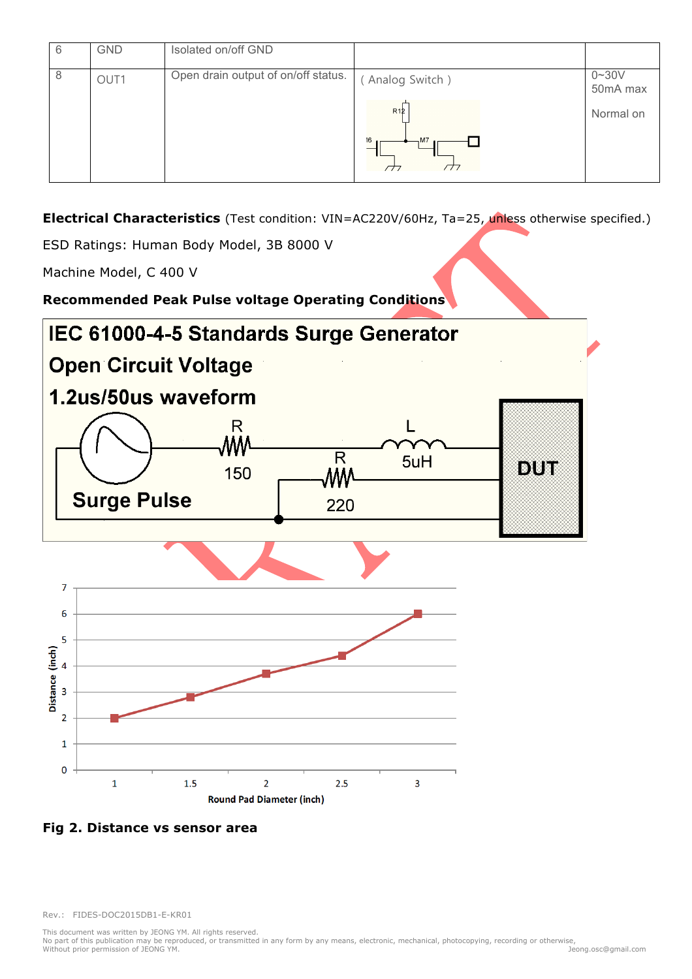| 6 | <b>GND</b> | Isolated on/off GND                 |                 |                       |
|---|------------|-------------------------------------|-----------------|-----------------------|
| 8 | OUT1       | Open drain output of on/off status. | (Analog Switch) | $0 - 30V$<br>50mA max |
|   |            |                                     | R12             | Normal on             |
|   |            |                                     | 16<br>M7        |                       |

**Electrical Characteristics** (Test condition: VIN=AC220V/60Hz, Ta=25, unless otherwise specified.)

ESD Ratings: Human Body Model, 3B 8000 V

Machine Model, C 400 V

**Recommended Peak Pulse voltage Operating Conditions**



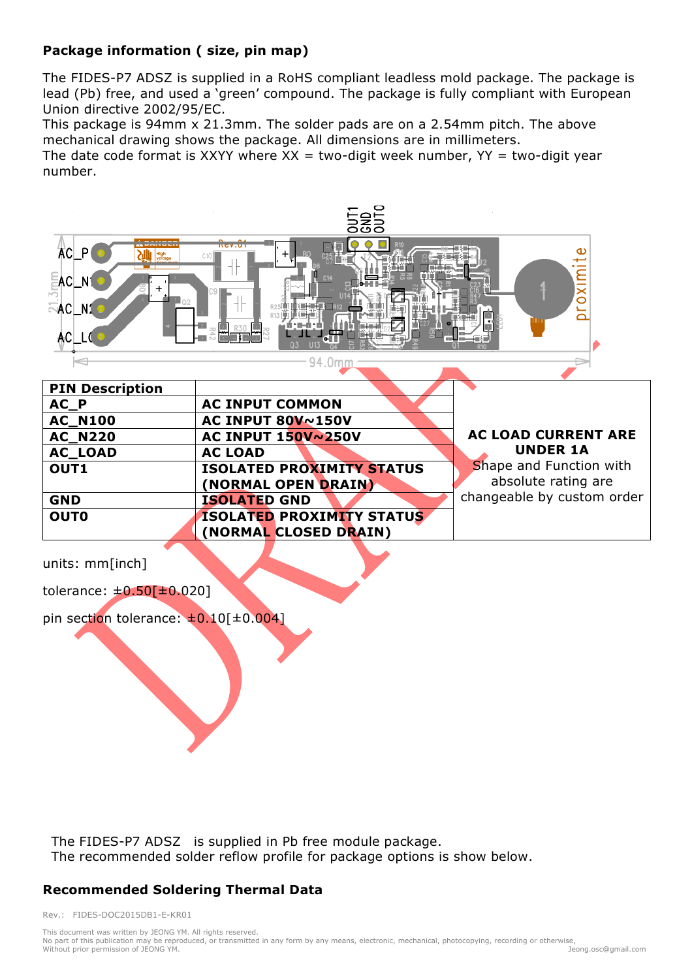#### **Package information ( size, pin map)**

The FIDES-P7 ADSZ is supplied in a RoHS compliant leadless mold package. The package is lead (Pb) free, and used a 'green' compound. The package is fully compliant with European Union directive 2002/95/EC.

This package is 94mm x 21.3mm. The solder pads are on a 2.54mm pitch. The above mechanical drawing shows the package. All dimensions are in millimeters.

The date code format is XXYY where  $XX = two-digit week number$ ,  $YY = two-digit year$ number.



units: mm[inch]

tolerance:  $\pm 0.50$ [ $\pm 0.020$ ]

pin section tolerance:  $\pm 0.10$ [ $\pm 0.004$ ]

The FIDES-P7 ADSZ is supplied in Pb free module package. The recommended solder reflow profile for package options is show below.

**(NORMAL CLOSED DRAIN)**

## **Recommended Soldering Thermal Data**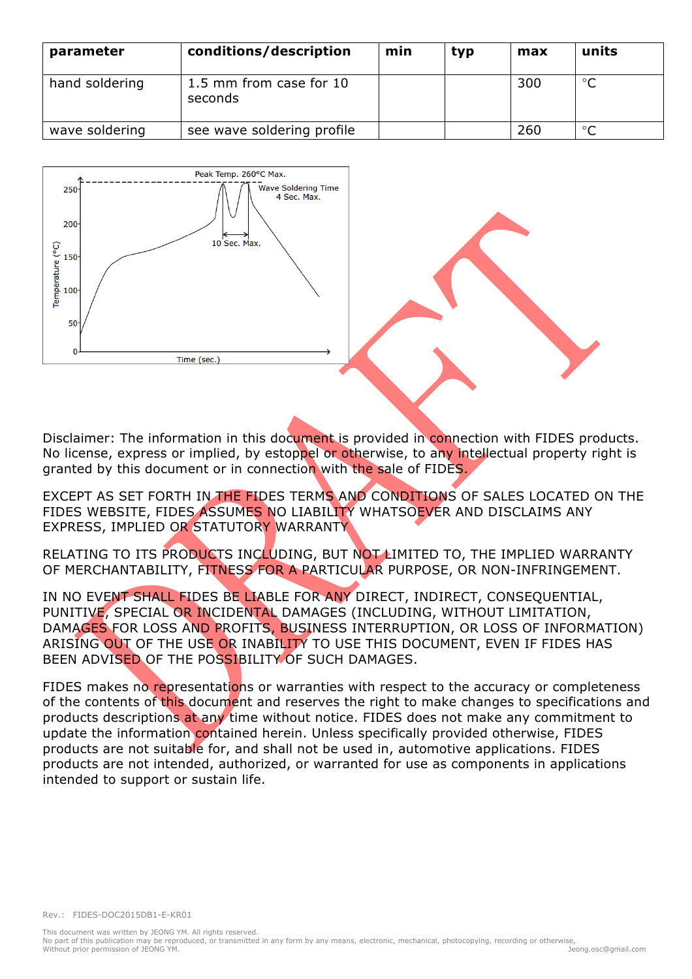| parameter      | conditions/description             | min | typ | max | units   |
|----------------|------------------------------------|-----|-----|-----|---------|
| hand soldering | 1.5 mm from case for 10<br>seconds |     |     | 300 | $\circ$ |
| wave soldering | see wave soldering profile         |     |     | 260 | $\circ$ |



Disclaimer: The information in this document is provided in connection with FIDES products. No license, express or implied, by estoppel or otherwise, to any intellectual property right is granted by this document or in connection with the sale of FIDES.

EXCEPT AS SET FORTH IN THE FIDES TERMS AND CONDITIONS OF SALES LOCATED ON THE FIDES WEBSITE, FIDES ASSUMES NO LIABILITY WHATSOEVER AND DISCLAIMS ANY EXPRESS, IMPLIED OR STATUTORY WARRANTY

RELATING TO ITS PRODUCTS INCLUDING, BUT NOT LIMITED TO, THE IMPLIED WARRANTY OF MERCHANTABILITY, FITNESS FOR A PARTICULAR PURPOSE, OR NON-INFRINGEMENT.

IN NO EVENT SHALL FIDES BE LIABLE FOR ANY DIRECT, INDIRECT, CONSEQUENTIAL, PUNITIVE, SPECIAL OR INCIDENTAL DAMAGES (INCLUDING, WITHOUT LIMITATION, DAMAGES FOR LOSS AND PROFITS, BUSINESS INTERRUPTION, OR LOSS OF INFORMATION) ARISING OUT OF THE USE OR INABILITY TO USE THIS DOCUMENT, EVEN IF FIDES HAS BEEN ADVISED OF THE POSSIBILITY OF SUCH DAMAGES.

FIDES makes no representations or warranties with respect to the accuracy or completeness of the contents of this document and reserves the right to make changes to specifications and products descriptions at any time without notice. FIDES does not make any commitment to update the information contained herein. Unless specifically provided otherwise, FIDES products are not suitable for, and shall not be used in, automotive applications. FIDES products are not intended, authorized, or warranted for use as components in applications intended to support or sustain life.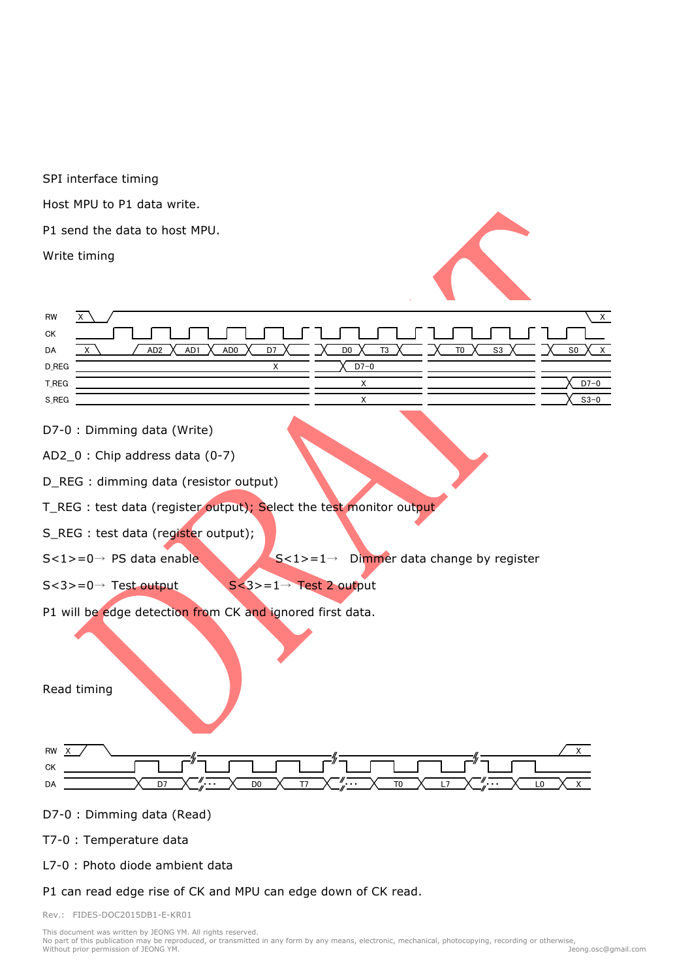SPI interface timing Host MPU to P1 data write. P1 send the data to host MPU. Write timing RW X  $\setminus$  X



D7-0 : Dimming data (Write)

AD2\_0 : Chip address data (0-7)

D\_REG : dimming data (resistor output)

T\_REG : test data (register output); Select the test monitor output

S\_REG : test data (register output);

 $S < 1$  > = 0  $\rightarrow$  PS data enable  $S < 1$  > = 1  $\rightarrow$  Dimmer data change by register

 $S < 3 > = 0 \rightarrow$  Test output  $S < 3 > = 1 \rightarrow$  Test 2 output

P1 will be edge detection from CK and ignored first data.

Read timing



#### D7-0 : Dimming data (Read)

#### T7-0 : Temperature data

L7-0 : Photo diode ambient data

P1 can read edge rise of CK and MPU can edge down of CK read.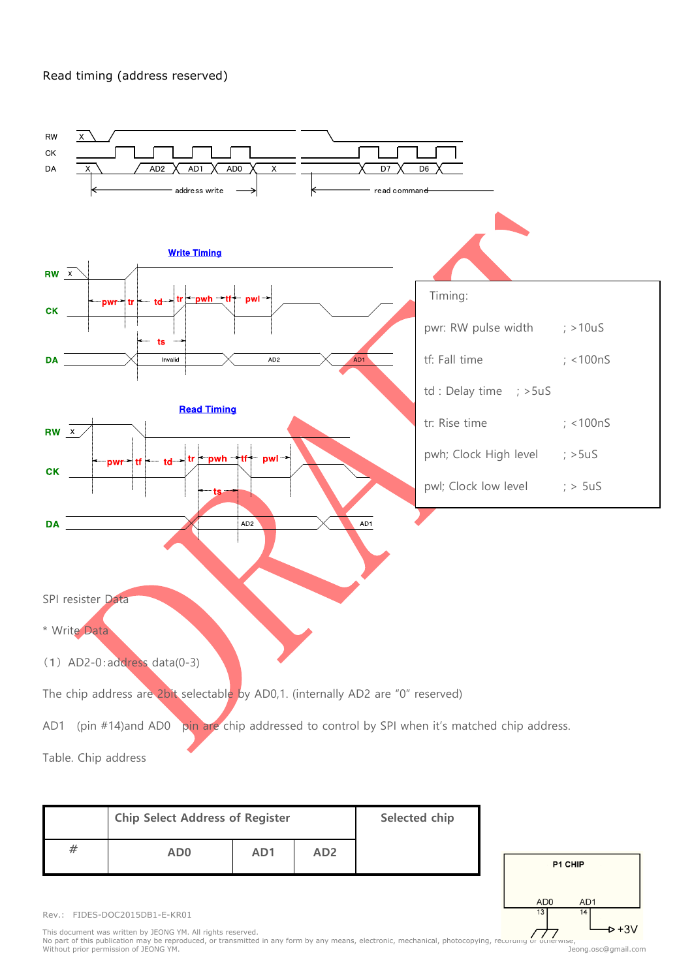#### Read timing (address reserved)



| <b>Chip Select Address of Register</b> | Selected chip   |                 |  |
|----------------------------------------|-----------------|-----------------|--|
| AD <sub>0</sub>                        | AD <sub>1</sub> | AD <sub>2</sub> |  |



Rev.: FIDES-DOC2015DB1-E-KR01

This document was written by JEONG YM. All rights reserved.<br>No part of this publication may be reproduced, or transmitted in any form by any means, electronic, mechanical, photocopying, recording or otherwise,<br>Without prio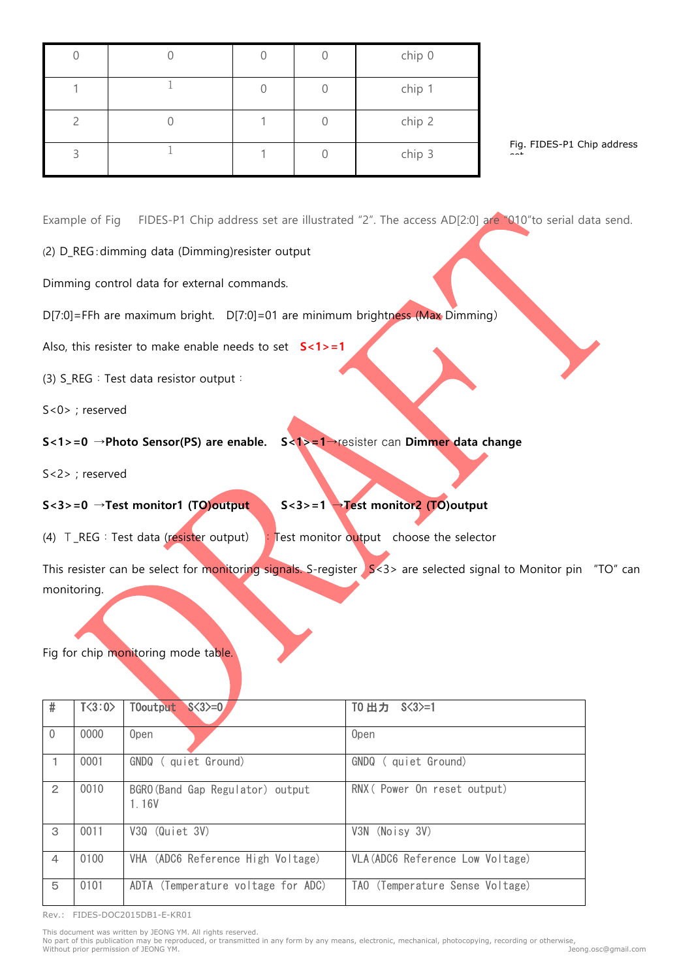|  |  | chip 0 |
|--|--|--------|
|  |  | chip 1 |
|  |  | chip 2 |
|  |  | chip 3 |

Fig. FIDES-P1 Chip address

set

Example of Fig FIDES-P1 Chip address set are illustrated "2". The access AD[2:0] are "010"to serial data send.

(2) D\_REG:dimming data (Dimming)resister output

Dimming control data for external commands.

D[7:0]=FFh are maximum bright. D[7:0]=01 are minimum brightness (Max Dimming)

Also, this resister to make enable needs to set **S<1>=1** 

(3) S REG: Test data resistor output:

S<0> ; reserved

**S<1>=0** →**Photo Sensor(PS) are enable. S<1>=1**→resister can **Dimmer data change**

S<2> ; reserved

**S<3>=0** →**Test monitor1 (TO)output S<3>=1** →**Test monitor2 (TO)output**

(4)  $T_{REG}:Test data (resister output)$  : Test monitor output choose the selector

This resister can be select for monitoring signals. S-register  $\sqrt{s}$  < 3> are selected signal to Monitor pin "TO" can monitoring.

Fig for chip monitoring mode table.

| #              | T < 3:0 | T0output<br>$S<3>=0$                      | TO 出力 S<3>=1                     |
|----------------|---------|-------------------------------------------|----------------------------------|
| $\mathbf{0}$   | 0000    | Open                                      | 0 <sub>pen</sub>                 |
| $\mathbf{1}$   | 0001    | GNDQ (quiet Ground)                       | GNDQ<br>( quiet Ground)          |
| $\overline{2}$ | 0010    | BGRO (Band Gap Regulator) output<br>1.16V | RNX ( Power On reset output)     |
| 3              | 0011    | V3Q (Quiet 3V)                            | V3N (Noisy 3V)                   |
| $\overline{4}$ | 0100    | VHA (ADC6 Reference High Voltage)         | VLA (ADC6 Reference Low Voltage) |
| 5              | 0101    | ADTA (Temperature voltage for ADC)        | TAO (Temperature Sense Voltage)  |

Rev.: FIDES-DOC2015DB1-E-KR01

This document was written by JEONG YM. All rights reserved.<br>No part of this publication may be reproduced, or transmitted in any form by any means, electronic, mechanical, photocopying, recording or otherwise,<br>Without prio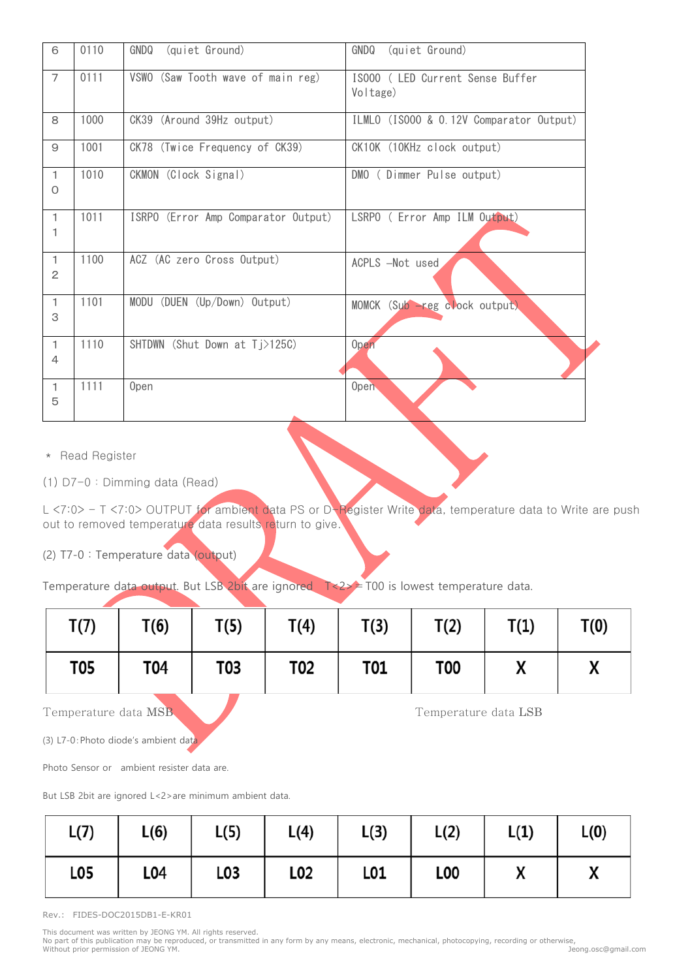| 6                              | 0110 | GNDQ<br>(quiet Ground)              | GNDQ<br>(quiet Ground)                       |
|--------------------------------|------|-------------------------------------|----------------------------------------------|
| $\overline{7}$                 | 0111 | VSWO (Saw Tooth wave of main reg)   | IS000 ( LED Current Sense Buffer<br>Voltage) |
| 8                              | 1000 | CK39 (Around 39Hz output)           | ILMLO (ISOOO & O.12V Comparator Output)      |
| $\overline{9}$                 | 1001 | CK78 (Twice Frequency of CK39)      | CK10K (10KHz clock output)                   |
| $\mathbf{1}$<br>$\circ$        | 1010 | CKMON (Clock Signal)                | DMO (Dimmer Pulse output)                    |
| $\mathbf{1}$<br>1              | 1011 | ISRPO (Error Amp Comparator Output) | LSRPO ( Error Amp ILM Output)                |
| $\mathbf{1}$<br>$\overline{c}$ | 1100 | ACZ (AC zero Cross Output)          | ACPLS -Not used                              |
| $\mathbf{1}$<br>3              | 1101 | MODU (DUEN (Up/Down) Output)        | MOMCK (Sub - reg clock output)               |
| $\mathbf{1}$<br>4              | 1110 | SHTDWN (Shut Down at Tj>125C)       | <b>Open</b>                                  |
| $\mathbf{1}$<br>5              | 1111 | 0 <sub>pen</sub>                    | Open                                         |

\* Read Register

(1) D7-0:Dimming data (Read)

L <7:0> - T <7:0> OUTPUT for ambient data PS or D-Register Write data, temperature data to Write are push out to removed temperature data results return to give.

(2) T7-0 : Temperature data (output)

Temperature data output. But LSB 2bit are ignored T<2>=T00 is lowest temperature data.

| T(7)       | T(6) | T(5) | T(4) | T(3)       | T(2)       | T(1) | T(0) |
|------------|------|------|------|------------|------------|------|------|
| <b>T05</b> | T04  | T03  | T02  | <b>T01</b> | <b>T00</b> |      |      |

Temperature data MSB Temperature data LSB

(3) L7-0:Photo diode's ambient data

Photo Sensor or ambient resister data are.

But LSB 2bit are ignored L<2>are minimum ambient data.

| L(7) | L(6) | L(5) | L(4)            | L(3) | L(2)             | L(1) | L(0)         |
|------|------|------|-----------------|------|------------------|------|--------------|
| L05  | L04  | L03  | L <sub>02</sub> | L01  | L <sub>0</sub> 0 | "    | $\mathbf{v}$ |

Rev.: FIDES-DOC2015DB1-E-KR01

This document was written by JEONG YM. All rights reserved.<br>No part of this publication may be reproduced, or transmitted in any form by any means, electronic, mechanical, photocopying, recording or otherwise,<br>Without prio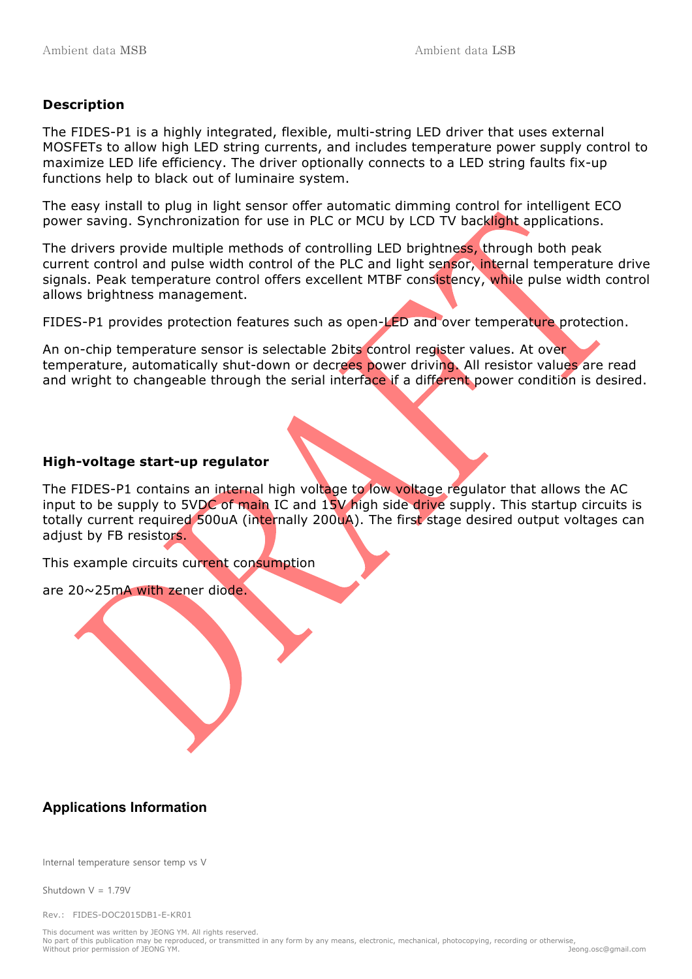#### **Description**

The FIDES-P1 is a highly integrated, flexible, multi-string LED driver that uses external MOSFETs to allow high LED string currents, and includes temperature power supply control to maximize LED life efficiency. The driver optionally connects to a LED string faults fix-up functions help to black out of luminaire system.

The easy install to plug in light sensor offer automatic dimming control for intelligent ECO power saving. Synchronization for use in PLC or MCU by LCD TV backlight applications.

The drivers provide multiple methods of controlling LED brightness, through both peak current control and pulse width control of the PLC and light sensor, internal temperature drive signals. Peak temperature control offers excellent MTBF consistency, while pulse width control allows brightness management.

FIDES-P1 provides protection features such as open-LED and over temperature protection.

An on-chip temperature sensor is selectable 2bits control register values. At over temperature, automatically shut-down or decrees power driving. All resistor values are read and wright to changeable through the serial interface if a different power condition is desired.

#### **High-voltage start-up regulator**

The FIDES-P1 contains an internal high voltage to low voltage regulator that allows the AC input to be supply to 5VDC of main IC and 15V high side drive supply. This startup circuits is totally current required 500uA (internally 200uA). The first stage desired output voltages can adjust by FB resistors.

This example circuits current consumption

are 20~25mA with zener diode.

## **Applications Information**

Internal temperature sensor temp vs V

Shutdown  $V = 1.79V$